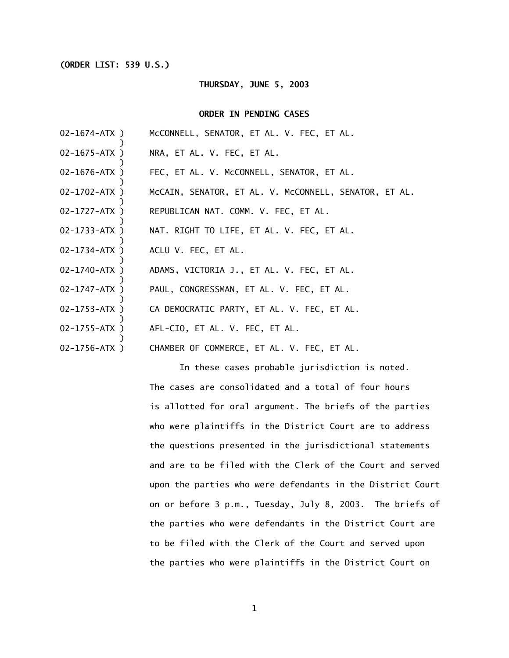## **(ORDER LIST: 539 U.S.)**

## **THURSDAY, JUNE 5, 2003**

## **ORDER IN PENDING CASES**

| $02 - 1674 - ATX$ ) | MCCONNELL, SENATOR, ET AL. V. FEC, ET AL.             |
|---------------------|-------------------------------------------------------|
| $02 - 1675 - ATX$ ) | NRA, ET AL. V. FEC, ET AL.                            |
| $02 - 1676 - ATX)$  | FEC, ET AL. V. McCONNELL, SENATOR, ET AL.             |
| $02 - 1702 - ATX$ ) | MCCAIN, SENATOR, ET AL. V. MCCONNELL, SENATOR, ET AL. |
| $02 - 1727 - ATX$ ) | REPUBLICAN NAT. COMM. V. FEC, ET AL.                  |
| $02 - 1733 - ATX$ ) | NAT. RIGHT TO LIFE, ET AL. V. FEC, ET AL.             |
| $02 - 1734 - ATX$ ) | ACLU V. FEC, ET AL.                                   |
| $02 - 1740 - ATX$ ) | ADAMS, VICTORIA J., ET AL. V. FEC, ET AL.             |
| $02 - 1747 - ATX$ ) | PAUL, CONGRESSMAN, ET AL. V. FEC, ET AL.              |
| $02 - 1753 - ATX)$  | CA DEMOCRATIC PARTY, ET AL. V. FEC, ET AL.            |
| $02 - 1755 - ATX$ ) | AFL-CIO, ET AL. V. FEC, ET AL.                        |
| $02 - 1756 - ATX$ ) | CHAMBER OF COMMERCE, ET AL. V. FEC, ET AL.            |

In these cases probable jurisdiction is noted. The cases are consolidated and a total of four hours is allotted for oral argument. The briefs of the parties who were plaintiffs in the District Court are to address the questions presented in the jurisdictional statements and are to be filed with the Clerk of the Court and served upon the parties who were defendants in the District Court on or before 3 p.m., Tuesday, July 8, 2003. The briefs of the parties who were defendants in the District Court are to be filed with the Clerk of the Court and served upon the parties who were plaintiffs in the District Court on

1